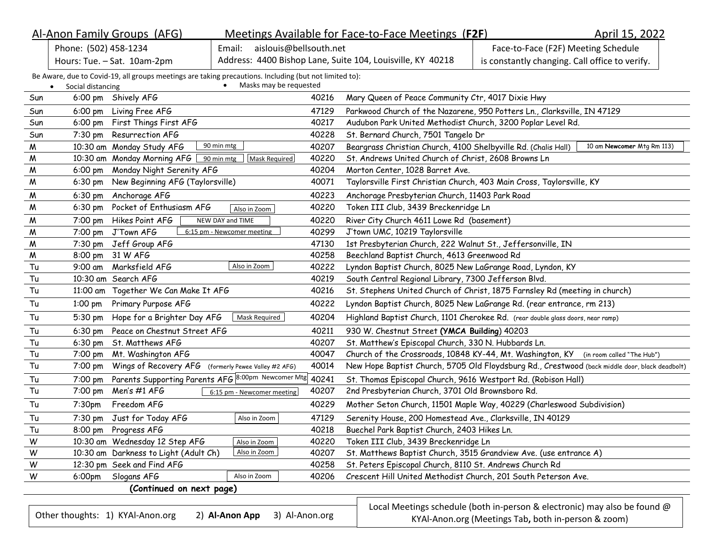|                                                           | Al-Anon Family Groups (AFG)                                                                            |                             |                                                            | Meetings Available for Face-to-Face Meetings (F2F)                                             |                                                                           | April 15, 2022             |
|-----------------------------------------------------------|--------------------------------------------------------------------------------------------------------|-----------------------------|------------------------------------------------------------|------------------------------------------------------------------------------------------------|---------------------------------------------------------------------------|----------------------------|
| Phone: (502) 458-1234<br>aislouis@bellsouth.net<br>Email: |                                                                                                        |                             |                                                            | Face-to-Face (F2F) Meeting Schedule                                                            |                                                                           |                            |
| Hours: Tue. - Sat. 10am-2pm                               |                                                                                                        |                             | Address: 4400 Bishop Lane, Suite 104, Louisville, KY 40218 | is constantly changing. Call office to verify.                                                 |                                                                           |                            |
|                                                           | Be Aware, due to Covid-19, all groups meetings are taking precautions. Including (but not limited to): |                             |                                                            |                                                                                                |                                                                           |                            |
| $\bullet$                                                 | Social distancing                                                                                      | • Masks may be requested    |                                                            |                                                                                                |                                                                           |                            |
| Sun                                                       | 6:00 pm Shively AFG                                                                                    |                             | 40216                                                      | Mary Queen of Peace Community Ctr, 4017 Dixie Hwy                                              |                                                                           |                            |
| Sun                                                       | Living Free AFG<br>$6:00 \text{ pm}$                                                                   |                             | 47129                                                      | Parkwood Church of the Nazarene, 950 Potters Ln., Clarksville, IN 47129                        |                                                                           |                            |
| Sun                                                       | First Things First AFG<br>$6:00 \text{ pm}$                                                            |                             | 40217                                                      | Audubon Park United Methodist Church, 3200 Poplar Level Rd.                                    |                                                                           |                            |
| Sun                                                       | Resurrection AFG<br>7:30 pm                                                                            |                             | 40228                                                      | St. Bernard Church, 7501 Tangelo Dr                                                            |                                                                           |                            |
| W                                                         | 10:30 am Monday Study AFG                                                                              | 90 min mtg                  | 40207                                                      | Beargrass Christian Church, 4100 Shelbyville Rd. (Chalis Hall)                                 |                                                                           | 10 am Newcomer Mtg Rm 113) |
| M                                                         | 10:30 am Monday Morning AFG                                                                            | 90 min mtg<br>Mask Required | 40220                                                      | St. Andrews United Church of Christ, 2608 Browns Ln                                            |                                                                           |                            |
| M                                                         | Monday Night Serenity AFG<br>$6:00 \text{ pm}$                                                         |                             | 40204                                                      | Morton Center, 1028 Barret Ave.                                                                |                                                                           |                            |
| W                                                         | New Beginning AFG (Taylorsville)<br>$6:30 \text{ pm}$                                                  |                             | 40071                                                      | Taylorsville First Christian Church, 403 Main Cross, Taylorsville, KY                          |                                                                           |                            |
| W                                                         | 6:30 pm<br>Anchorage AFG                                                                               |                             | 40223                                                      | Anchorage Presbyterian Church, 11403 Park Road                                                 |                                                                           |                            |
| M                                                         | Pocket of Enthusiasm AFG<br>$6:30 \text{ pm}$                                                          | Also in Zoom                | 40220                                                      | Token III Club, 3439 Breckenridge Ln                                                           |                                                                           |                            |
| M                                                         | Hikes Point AFG<br>7:00 pm                                                                             | NEW DAY and TIME            | 40220                                                      | River City Church 4611 Lowe Rd (basement)                                                      |                                                                           |                            |
| ${\mathsf M}$                                             | J'Town AFG<br>$7:00 \text{ pm}$                                                                        | 6:15 pm - Newcomer meeting  | 40299                                                      | J'town UMC, 10219 Taylorsville                                                                 |                                                                           |                            |
| M                                                         | 7:30 pm Jeff Group AFG                                                                                 |                             | 47130                                                      | 1st Presbyterian Church, 222 Walnut St., Jeffersonville, IN                                    |                                                                           |                            |
| W                                                         | 31 W AFG<br>8:00 pm                                                                                    |                             | 40258                                                      | Beechland Baptist Church, 4613 Greenwood Rd                                                    |                                                                           |                            |
| Tu                                                        | Marksfield AFG<br>9:00 am                                                                              | Also in Zoom                | 40222                                                      | Lyndon Baptist Church, 8025 New LaGrange Road, Lyndon, KY                                      |                                                                           |                            |
| Tu                                                        | 10:30 am Search AFG                                                                                    |                             | 40219                                                      | South Central Regional Library, 7300 Jefferson Blvd.                                           |                                                                           |                            |
| Tu                                                        | 11:00 am Together We Can Make It AFG                                                                   |                             | 40216                                                      | St. Stephens United Church of Christ, 1875 Farnsley Rd (meeting in church)                     |                                                                           |                            |
| Tu                                                        | Primary Purpose AFG<br>$1:00 \text{ pm}$                                                               |                             | 40222                                                      | Lyndon Baptist Church, 8025 New LaGrange Rd. (rear entrance, rm 213)                           |                                                                           |                            |
| Tu                                                        | Hope for a Brighter Day AFG<br>5:30 pm                                                                 | Mask Required               | 40204                                                      | Highland Baptist Church, 1101 Cherokee Rd. (rear double glass doors, near ramp)                |                                                                           |                            |
| Tu                                                        | Peace on Chestnut Street AFG<br>$6:30 \text{ pm}$                                                      |                             | 40211                                                      | 930 W. Chestnut Street (YMCA Building) 40203                                                   |                                                                           |                            |
| Tu                                                        | St. Matthews AFG<br>$6:30$ pm                                                                          |                             | 40207                                                      | St. Matthew's Episcopal Church, 330 N. Hubbards Ln.                                            |                                                                           |                            |
| Tu                                                        | 7:00 pm<br>Mt. Washington AFG                                                                          |                             | 40047                                                      | Church of the Crossroads, 10848 KY-44, Mt. Washington, KY (in room called "The Hub")           |                                                                           |                            |
| Tu                                                        | Wings of Recovery AFG (formerly Pewee Valley #2 AFG)<br>7:00 pm                                        |                             | 40014                                                      | New Hope Baptist Church, 5705 Old Floydsburg Rd., Crestwood (back middle door, black deadbolt) |                                                                           |                            |
| Tu                                                        | Parents Supporting Parents AFG 8:00pm Newcomer Mtg<br>7:00 pm                                          |                             | 40241                                                      | St. Thomas Episcopal Church, 9616 Westport Rd. (Robison Hall)                                  |                                                                           |                            |
| Tu                                                        | Men's #1 AFG<br>7:00 pm                                                                                | 6:15 pm - Newcomer meeting  | 40207                                                      | 2nd Presbyterian Church, 3701 Old Brownsboro Rd.                                               |                                                                           |                            |
| Tu                                                        | Freedom AFG<br>7:30 <sub>pm</sub>                                                                      |                             | 40229                                                      | Mother Seton Church, 11501 Maple Way, 40229 (Charleswood Subdivision)                          |                                                                           |                            |
| Tu                                                        | 7:30 pm Just for Today AFG                                                                             | Also in Zoom                | 47129                                                      | Serenity House, 200 Homestead Ave., Clarksville, IN 40129                                      |                                                                           |                            |
| Tu                                                        | 8:00 pm Progress AFG                                                                                   |                             | 40218                                                      | Buechel Park Baptist Church, 2403 Hikes Ln.                                                    |                                                                           |                            |
| W                                                         | 10:30 am Wednesday 12 Step AFG                                                                         | Also in Zoom                | 40220                                                      | Token III Club, 3439 Breckenridge Ln                                                           |                                                                           |                            |
| W                                                         | 10:30 am Darkness to Light (Adult Ch)                                                                  | Also in Zoom                | 40207                                                      | St. Matthews Baptist Church, 3515 Grandview Ave. (use entrance A)                              |                                                                           |                            |
| W                                                         | 12:30 pm Seek and Find AFG                                                                             |                             | 40258                                                      | St. Peters Episcopal Church, 8110 St. Andrews Church Rd                                        |                                                                           |                            |
| W                                                         | 6:00pm Slogans AFG                                                                                     | Also in Zoom                | 40206                                                      | Crescent Hill United Methodist Church, 201 South Peterson Ave.                                 |                                                                           |                            |
|                                                           | (Continued on next page)                                                                               |                             |                                                            |                                                                                                |                                                                           |                            |
|                                                           |                                                                                                        |                             |                                                            |                                                                                                | Local Meetings schedule (both in-person & electronic) may also be found @ |                            |
|                                                           | Other thoughts: 1) KYAl-Anon.org                                                                       | 2) Al-Anon App              | 3) Al-Anon.org                                             |                                                                                                | KYAI-Anon.org (Meetings Tab, both in-person & zoom)                       |                            |
|                                                           |                                                                                                        |                             |                                                            |                                                                                                |                                                                           |                            |